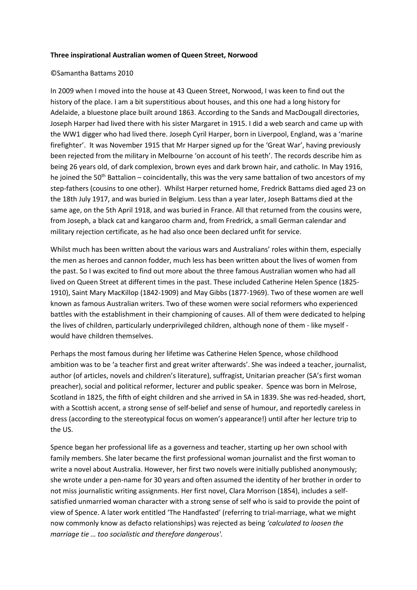## **Three inspirational Australian women of Queen Street, Norwood**

## ©Samantha Battams 2010

In 2009 when I moved into the house at 43 Queen Street, Norwood, I was keen to find out the history of the place. I am a bit superstitious about houses, and this one had a long history for Adelaide, a bluestone place built around 1863. According to the Sands and MacDougall directories, Joseph Harper had lived there with his sister Margaret in 1915. I did a web search and came up with the WW1 digger who had lived there. Joseph Cyril Harper, born in Liverpool, England, was a 'marine firefighter'. It was November 1915 that Mr Harper signed up for the 'Great War', having previously been rejected from the military in Melbourne 'on account of his teeth'. The records describe him as being 26 years old, of dark complexion, brown eyes and dark brown hair, and catholic. In May 1916, he joined the 50<sup>th</sup> Battalion – coincidentally, this was the very same battalion of two ancestors of my step-fathers (cousins to one other). Whilst Harper returned home, Fredrick Battams died aged 23 on the 18th July 1917, and was buried in Belgium. Less than a year later, Joseph Battams died at the same age, on the 5th April 1918, and was buried in France. All that returned from the cousins were, from Joseph, a black cat and kangaroo charm and, from Fredrick, a small German calendar and military rejection certificate, as he had also once been declared unfit for service.

Whilst much has been written about the various wars and Australians' roles within them, especially the men as heroes and cannon fodder, much less has been written about the lives of women from the past. So I was excited to find out more about the three famous Australian women who had all lived on Queen Street at different times in the past. These included Catherine Helen Spence (1825- 1910), Saint Mary MacKillop (1842-1909) and May Gibbs (1877-1969). Two of these women are well known as famous Australian writers. Two of these women were social reformers who experienced battles with the establishment in their championing of causes. All of them were dedicated to helping the lives of children, particularly underprivileged children, although none of them - like myself would have children themselves.

Perhaps the most famous during her lifetime was Catherine Helen Spence, whose childhood ambition was to be 'a teacher first and great writer afterwards'. She was indeed a teacher, journalist, author (of articles, novels and children's literature), suffragist, Unitarian preacher (SA's first woman preacher), social and political reformer, lecturer and public speaker. Spence was born in Melrose, Scotland in 1825, the fifth of eight children and she arrived in SA in 1839. She was red-headed, short, with a Scottish accent, a strong sense of self-belief and sense of humour, and reportedly careless in dress (according to the stereotypical focus on women's appearance!) until after her lecture trip to the US.

Spence began her professional life as a governess and teacher, starting up her own school with family members. She later became the first professional woman journalist and the first woman to write a novel about Australia. However, her first two novels were initially published anonymously; she wrote under a pen-name for 30 years and often assumed the identity of her brother in order to not miss journalistic writing assignments. Her first novel, Clara Morrison (1854), includes a selfsatisfied unmarried woman character with a strong sense of self who is said to provide the point of view of Spence. A later work entitled 'The Handfasted' (referring to trial-marriage, what we might now commonly know as defacto relationships) was rejected as being *'calculated to loosen the marriage tie … too socialistic and therefore dangerous'.*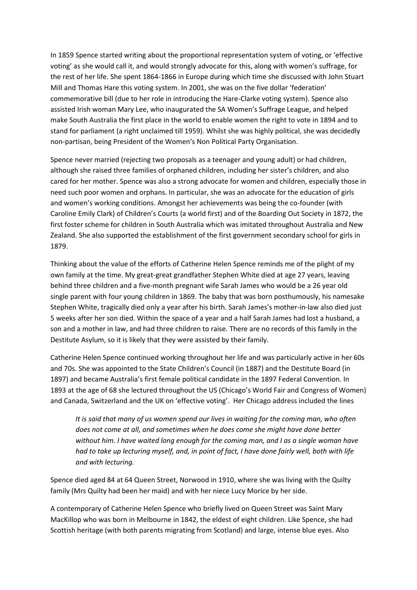In 1859 Spence started writing about the proportional representation system of voting, or 'effective voting' as she would call it, and would strongly advocate for this, along with women's suffrage, for the rest of her life. She spent 1864-1866 in Europe during which time she discussed with John Stuart Mill and Thomas Hare this voting system. In 2001, she was on the five dollar 'federation' commemorative bill (due to her role in introducing the Hare-Clarke voting system). Spence also assisted Irish woman Mary Lee, who inaugurated the SA Women's Suffrage League, and helped make South Australia the first place in the world to enable women the right to vote in 1894 and to stand for parliament (a right unclaimed till 1959). Whilst she was highly political, she was decidedly non-partisan, being President of the Women's Non Political Party Organisation.

Spence never married (rejecting two proposals as a teenager and young adult) or had children, although she raised three families of orphaned children, including her sister's children, and also cared for her mother. Spence was also a strong advocate for women and children, especially those in need such poor women and orphans. In particular, she was an advocate for the education of girls and women's working conditions. Amongst her achievements was being the co-founder (with Caroline Emily Clark) of Children's Courts (a world first) and of the Boarding Out Society in 1872, the first foster scheme for children in South Australia which was imitated throughout Australia and New Zealand. She also supported the establishment of the first government secondary school for girls in 1879.

Thinking about the value of the efforts of Catherine Helen Spence reminds me of the plight of my own family at the time. My great-great grandfather Stephen White died at age 27 years, leaving behind three children and a five-month pregnant wife Sarah James who would be a 26 year old single parent with four young children in 1869. The baby that was born posthumously, his namesake Stephen White, tragically died only a year after his birth. Sarah James's mother-in-law also died just 5 weeks after her son died. Within the space of a year and a half Sarah James had lost a husband, a son and a mother in law, and had three children to raise. There are no records of this family in the Destitute Asylum, so it is likely that they were assisted by their family.

Catherine Helen Spence continued working throughout her life and was particularly active in her 60s and 70s. She was appointed to the State Children's Council (in 1887) and the Destitute Board (in 1897) and became Australia's first female political candidate in the 1897 Federal Convention. In 1893 at the age of 68 she lectured throughout the US (Chicago's World Fair and Congress of Women) and Canada, Switzerland and the UK on 'effective voting'. Her Chicago address included the lines

*It is said that many of us women spend our lives in waiting for the coming man, who often does not come at all, and sometimes when he does come she might have done better without him. I have waited long enough for the coming man, and I as a single woman have had to take up lecturing myself, and, in point of fact, I have done fairly well, both with life and with lecturing.*

Spence died aged 84 at 64 Queen Street, Norwood in 1910, where she was living with the Quilty family (Mrs Quilty had been her maid) and with her niece Lucy Morice by her side.

A contemporary of Catherine Helen Spence who briefly lived on Queen Street was Saint Mary MacKillop who was born in Melbourne in 1842, the eldest of eight children. Like Spence, she had Scottish heritage (with both parents migrating from Scotland) and large, intense blue eyes. Also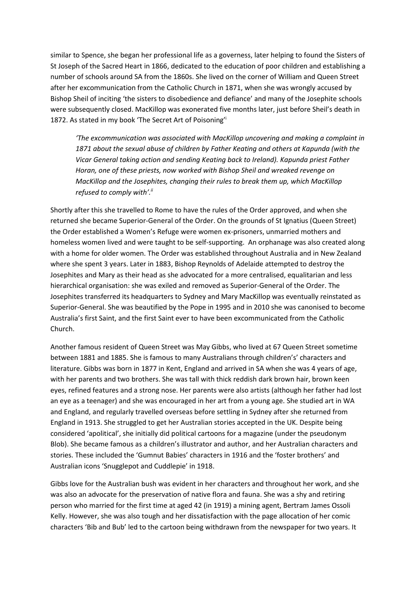similar to Spence, she began her professional life as a governess, later helping to found the Sisters of St Joseph of the Sacred Heart in 1866, dedicated to the education of poor children and establishing a number of schools around SA from the 1860s. She lived on the corner of William and Queen Street after her excommunication from the Catholic Church in 1871, when she was wrongly accused by Bishop Sheil of inciting 'the sisters to disobedience and defiance' and many of the Josephite schools were subsequently closed. MacKillop was exonerated five months later, just before Sheil's death in 1872. As stated in my book 'The Secret Art of Poisoning'

*'The excommunication was associated with MacKillop uncovering and making a complaint in 1871 about the sexual abuse of children by Father Keating and others at Kapunda (with the Vicar General taking action and sending Keating back to Ireland). Kapunda priest Father Horan, one of these priests, now worked with Bishop Sheil and wreaked revenge on MacKillop and the Josephites, changing their rules to break them up, which MacKillop refused to comply with'. ii*

Shortly after this she travelled to Rome to have the rules of the Order approved, and when she returned she became Superior-General of the Order. On the grounds of St Ignatius (Queen Street) the Order established a Women's Refuge were women ex-prisoners, unmarried mothers and homeless women lived and were taught to be self-supporting. An orphanage was also created along with a home for older women. The Order was established throughout Australia and in New Zealand where she spent 3 years. Later in 1883, Bishop Reynolds of Adelaide attempted to destroy the Josephites and Mary as their head as she advocated for a more centralised, equalitarian and less hierarchical organisation: she was exiled and removed as Superior-General of the Order. The Josephites transferred its headquarters to Sydney and Mary MacKillop was eventually reinstated as Superior-General. She was beautified by the Pope in 1995 and in 2010 she was canonised to become Australia's first Saint, and the first Saint ever to have been excommunicated from the Catholic Church.

Another famous resident of Queen Street was May Gibbs, who lived at 67 Queen Street sometime between 1881 and 1885. She is famous to many Australians through children's' characters and literature. Gibbs was born in 1877 in Kent, England and arrived in SA when she was 4 years of age, with her parents and two brothers. She was tall with thick reddish dark brown hair, brown keen eyes, refined features and a strong nose. Her parents were also artists (although her father had lost an eye as a teenager) and she was encouraged in her art from a young age. She studied art in WA and England, and regularly travelled overseas before settling in Sydney after she returned from England in 1913. She struggled to get her Australian stories accepted in the UK. Despite being considered 'apolitical', she initially did political cartoons for a magazine (under the pseudonym Blob). She became famous as a children's illustrator and author, and her Australian characters and stories. These included the 'Gumnut Babies' characters in 1916 and the 'foster brothers' and Australian icons 'Snugglepot and Cuddlepie' in 1918.

Gibbs love for the Australian bush was evident in her characters and throughout her work, and she was also an advocate for the preservation of native flora and fauna. She was a shy and retiring person who married for the first time at aged 42 (in 1919) a mining agent, Bertram James Ossoli Kelly. However, she was also tough and her dissatisfaction with the page allocation of her comic characters 'Bib and Bub' led to the cartoon being withdrawn from the newspaper for two years. It